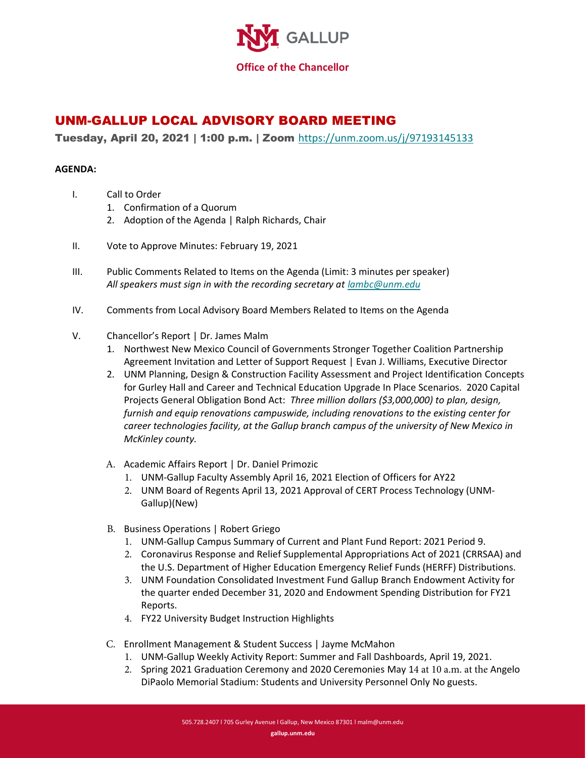

## UNM-GALLUP LOCAL ADVISORY BOARD MEETING

Tuesday, April 20, 2021 | 1:00 p.m. | Zoom <https://unm.zoom.us/j/97193145133>

## **AGENDA:**

- I. Call to Order
	- 1. Confirmation of a Quorum
	- 2. Adoption of the Agenda | Ralph Richards, Chair
- II. Vote to Approve Minutes: February 19, 2021
- III. Public Comments Related to Items on the Agenda (Limit: 3 minutes per speaker) *All speakers must sign in with the recording secretary at [lambc@unm.edu](mailto:lambc@unm.edu)*
- IV. Comments from Local Advisory Board Members Related to Items on the Agenda
- V. Chancellor's Report | Dr. James Malm
	- 1. Northwest New Mexico Council of Governments Stronger Together Coalition Partnership Agreement Invitation and Letter of Support Request | Evan J. Williams, Executive Director
	- 2. UNM Planning, Design & Construction Facility Assessment and Project Identification Concepts for Gurley Hall and Career and Technical Education Upgrade In Place Scenarios. 2020 Capital Projects General Obligation Bond Act: *Three million dollars (\$3,000,000) to plan, design, furnish and equip renovations campuswide, including renovations to the existing center for career technologies facility, at the Gallup branch campus of the university of New Mexico in McKinley county.*
	- A. Academic Affairs Report | Dr. Daniel Primozic
		- 1. UNM-Gallup Faculty Assembly April 16, 2021 Election of Officers for AY22
		- 2. UNM Board of Regents April 13, 2021 Approval of CERT Process Technology (UNM-Gallup)(New)
	- B. Business Operations | Robert Griego
		- 1. UNM-Gallup Campus Summary of Current and Plant Fund Report: 2021 Period 9.
		- 2. Coronavirus Response and Relief Supplemental Appropriations Act of 2021 (CRRSAA) and the U.S. Department of Higher Education Emergency Relief Funds (HERFF) Distributions.
		- 3. UNM Foundation Consolidated Investment Fund Gallup Branch Endowment Activity for the quarter ended December 31, 2020 and Endowment Spending Distribution for FY21 Reports.
		- 4. FY22 University Budget Instruction Highlights
	- C. Enrollment Management & Student Success | Jayme McMahon
		- 1. UNM-Gallup Weekly Activity Report: Summer and Fall Dashboards, April 19, 2021.
		- 2. Spring 2021 Graduation Ceremony and 2020 Ceremonies May 14 at 10 a.m. at the Angelo DiPaolo Memorial Stadium: Students and University Personnel Only No guests.